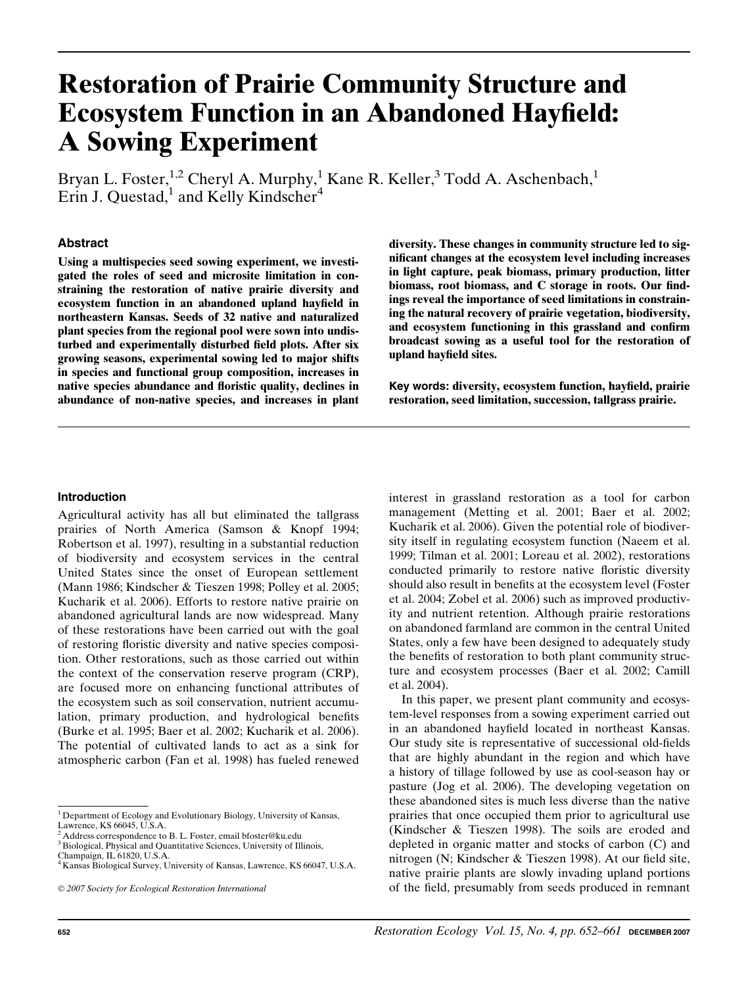# Restoration of Prairie Community Structure and Ecosystem Function in an Abandoned Hayfield: A Sowing Experiment

Bryan L. Foster,<sup>1,2</sup> Cheryl A. Murphy,<sup>1</sup> Kane R. Keller,<sup>3</sup> Todd A. Aschenbach,<sup>1</sup> Erin J. Questad,<sup>1</sup> and Kelly Kindscher<sup>4</sup>

## Abstract

Using a multispecies seed sowing experiment, we investigated the roles of seed and microsite limitation in constraining the restoration of native prairie diversity and ecosystem function in an abandoned upland hayfield in northeastern Kansas. Seeds of 32 native and naturalized plant species from the regional pool were sown into undisturbed and experimentally disturbed field plots. After six growing seasons, experimental sowing led to major shifts in species and functional group composition, increases in native species abundance and floristic quality, declines in abundance of non-native species, and increases in plant diversity. These changes in community structure led to significant changes at the ecosystem level including increases in light capture, peak biomass, primary production, litter biomass, root biomass, and C storage in roots. Our findings reveal the importance of seed limitations in constraining the natural recovery of prairie vegetation, biodiversity, and ecosystem functioning in this grassland and confirm broadcast sowing as a useful tool for the restoration of upland hayfield sites.

Key words: diversity, ecosystem function, hayfield, prairie restoration, seed limitation, succession, tallgrass prairie.

### Introduction

Agricultural activity has all but eliminated the tallgrass prairies of North America (Samson & Knopf 1994; Robertson et al. 1997), resulting in a substantial reduction of biodiversity and ecosystem services in the central United States since the onset of European settlement (Mann 1986; Kindscher & Tieszen 1998; Polley et al. 2005; Kucharik et al. 2006). Efforts to restore native prairie on abandoned agricultural lands are now widespread. Many of these restorations have been carried out with the goal of restoring floristic diversity and native species composition. Other restorations, such as those carried out within the context of the conservation reserve program (CRP), are focused more on enhancing functional attributes of the ecosystem such as soil conservation, nutrient accumulation, primary production, and hydrological benefits (Burke et al. 1995; Baer et al. 2002; Kucharik et al. 2006). The potential of cultivated lands to act as a sink for atmospheric carbon (Fan et al. 1998) has fueled renewed

interest in grassland restoration as a tool for carbon management (Metting et al. 2001; Baer et al. 2002; Kucharik et al. 2006). Given the potential role of biodiversity itself in regulating ecosystem function (Naeem et al. 1999; Tilman et al. 2001; Loreau et al. 2002), restorations conducted primarily to restore native floristic diversity should also result in benefits at the ecosystem level (Foster et al. 2004; Zobel et al. 2006) such as improved productivity and nutrient retention. Although prairie restorations on abandoned farmland are common in the central United States, only a few have been designed to adequately study the benefits of restoration to both plant community structure and ecosystem processes (Baer et al. 2002; Camill et al. 2004).

In this paper, we present plant community and ecosystem-level responses from a sowing experiment carried out in an abandoned hayfield located in northeast Kansas. Our study site is representative of successional old-fields that are highly abundant in the region and which have a history of tillage followed by use as cool-season hay or pasture (Jog et al. 2006). The developing vegetation on these abandoned sites is much less diverse than the native prairies that once occupied them prior to agricultural use (Kindscher & Tieszen 1998). The soils are eroded and depleted in organic matter and stocks of carbon (C) and nitrogen (N; Kindscher & Tieszen 1998). At our field site, native prairie plants are slowly invading upland portions of the field, presumably from seeds produced in remnant

 ${}^{1}$  Department of Ecology and Evolutionary Biology, University of Kansas, Lawrence, KS 66045, U.S.A.

Address correspondence to B. L. Foster, email bfoster@ku.edu

<sup>&</sup>lt;sup>3</sup> Biological, Physical and Quantitative Sciences, University of Illinois,

Champaign, IL 61820, U.S.A.

<sup>4</sup> Kansas Biological Survey, University of Kansas, Lawrence, KS 66047, U.S.A.

2007 Society for Ecological Restoration International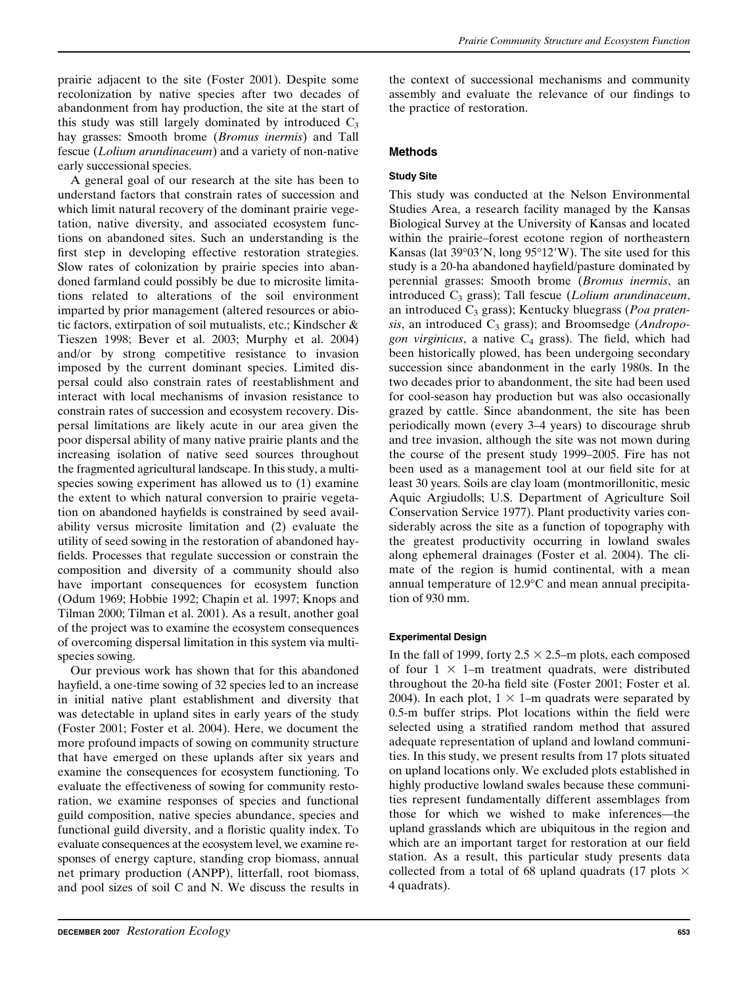prairie adjacent to the site (Foster 2001). Despite some recolonization by native species after two decades of abandonment from hay production, the site at the start of this study was still largely dominated by introduced  $C_3$ hay grasses: Smooth brome (*Bromus inermis*) and Tall fescue (Lolium arundinaceum) and a variety of non-native early successional species.

A general goal of our research at the site has been to understand factors that constrain rates of succession and which limit natural recovery of the dominant prairie vegetation, native diversity, and associated ecosystem functions on abandoned sites. Such an understanding is the first step in developing effective restoration strategies. Slow rates of colonization by prairie species into abandoned farmland could possibly be due to microsite limitations related to alterations of the soil environment imparted by prior management (altered resources or abiotic factors, extirpation of soil mutualists, etc.; Kindscher & Tieszen 1998; Bever et al. 2003; Murphy et al. 2004) and/or by strong competitive resistance to invasion imposed by the current dominant species. Limited dispersal could also constrain rates of reestablishment and interact with local mechanisms of invasion resistance to constrain rates of succession and ecosystem recovery. Dispersal limitations are likely acute in our area given the poor dispersal ability of many native prairie plants and the increasing isolation of native seed sources throughout the fragmented agricultural landscape. In this study, a multispecies sowing experiment has allowed us to (1) examine the extent to which natural conversion to prairie vegetation on abandoned hayfields is constrained by seed availability versus microsite limitation and (2) evaluate the utility of seed sowing in the restoration of abandoned hayfields. Processes that regulate succession or constrain the composition and diversity of a community should also have important consequences for ecosystem function (Odum 1969; Hobbie 1992; Chapin et al. 1997; Knops and Tilman 2000; Tilman et al. 2001). As a result, another goal of the project was to examine the ecosystem consequences of overcoming dispersal limitation in this system via multispecies sowing.

Our previous work has shown that for this abandoned hayfield, a one-time sowing of 32 species led to an increase in initial native plant establishment and diversity that was detectable in upland sites in early years of the study (Foster 2001; Foster et al. 2004). Here, we document the more profound impacts of sowing on community structure that have emerged on these uplands after six years and examine the consequences for ecosystem functioning. To evaluate the effectiveness of sowing for community restoration, we examine responses of species and functional guild composition, native species abundance, species and functional guild diversity, and a floristic quality index. To evaluate consequences at the ecosystem level, we examine responses of energy capture, standing crop biomass, annual net primary production (ANPP), litterfall, root biomass, and pool sizes of soil C and N. We discuss the results in

the context of successional mechanisms and community assembly and evaluate the relevance of our findings to the practice of restoration.

## Methods

## Study Site

This study was conducted at the Nelson Environmental Studies Area, a research facility managed by the Kansas Biological Survey at the University of Kansas and located within the prairie–forest ecotone region of northeastern Kansas (lat  $39^{\circ}03'N$ , long  $95^{\circ}12'W$ ). The site used for this study is a 20-ha abandoned hayfield/pasture dominated by perennial grasses: Smooth brome (Bromus inermis, an introduced  $C_3$  grass); Tall fescue (Lolium arundinaceum, an introduced  $C_3$  grass); Kentucky bluegrass (*Poa praten*sis, an introduced  $C_3$  grass); and Broomsedge (Andropogon virginicus, a native  $C_4$  grass). The field, which had been historically plowed, has been undergoing secondary succession since abandonment in the early 1980s. In the two decades prior to abandonment, the site had been used for cool-season hay production but was also occasionally grazed by cattle. Since abandonment, the site has been periodically mown (every 3–4 years) to discourage shrub and tree invasion, although the site was not mown during the course of the present study 1999–2005. Fire has not been used as a management tool at our field site for at least 30 years. Soils are clay loam (montmorillonitic, mesic Aquic Argiudolls; U.S. Department of Agriculture Soil Conservation Service 1977). Plant productivity varies considerably across the site as a function of topography with the greatest productivity occurring in lowland swales along ephemeral drainages (Foster et al. 2004). The climate of the region is humid continental, with a mean annual temperature of 12.9°C and mean annual precipitation of 930 mm.

#### Experimental Design

In the fall of 1999, forty  $2.5 \times 2.5$ –m plots, each composed of four  $1 \times 1$ –m treatment quadrats, were distributed throughout the 20-ha field site (Foster 2001; Foster et al. 2004). In each plot,  $1 \times 1$ –m quadrats were separated by 0.5-m buffer strips. Plot locations within the field were selected using a stratified random method that assured adequate representation of upland and lowland communities. In this study, we present results from 17 plots situated on upland locations only. We excluded plots established in highly productive lowland swales because these communities represent fundamentally different assemblages from those for which we wished to make inferences—the upland grasslands which are ubiquitous in the region and which are an important target for restoration at our field station. As a result, this particular study presents data collected from a total of 68 upland quadrats (17 plots  $\times$ 4 quadrats).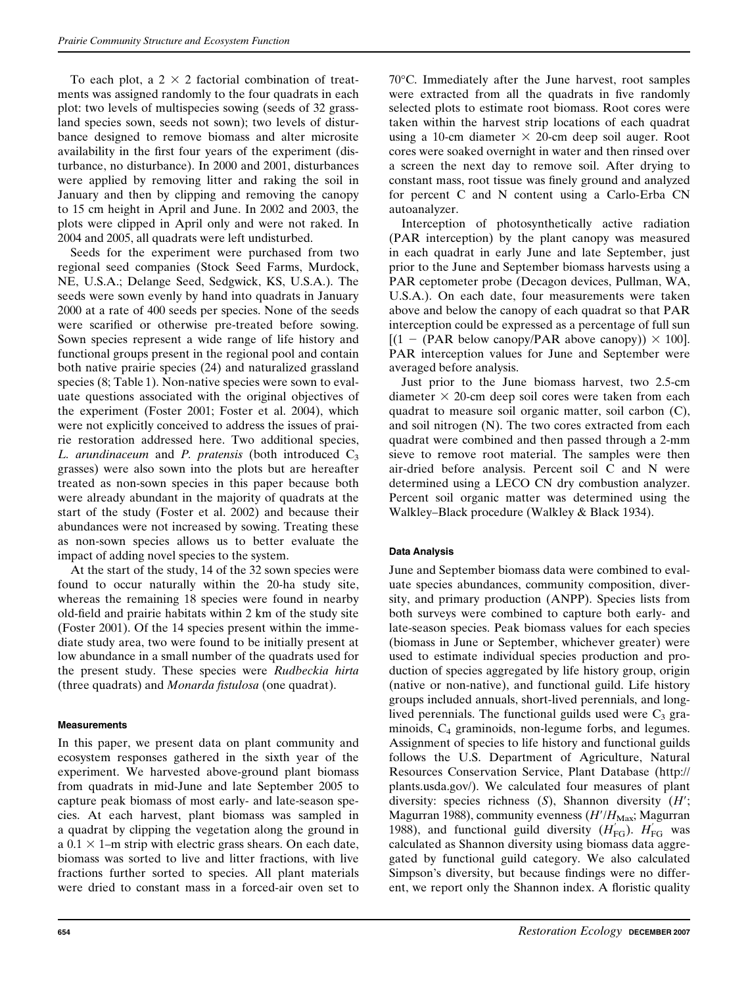To each plot, a  $2 \times 2$  factorial combination of treatments was assigned randomly to the four quadrats in each plot: two levels of multispecies sowing (seeds of 32 grassland species sown, seeds not sown); two levels of disturbance designed to remove biomass and alter microsite availability in the first four years of the experiment (disturbance, no disturbance). In 2000 and 2001, disturbances were applied by removing litter and raking the soil in January and then by clipping and removing the canopy to 15 cm height in April and June. In 2002 and 2003, the plots were clipped in April only and were not raked. In 2004 and 2005, all quadrats were left undisturbed.

Seeds for the experiment were purchased from two regional seed companies (Stock Seed Farms, Murdock, NE, U.S.A.; Delange Seed, Sedgwick, KS, U.S.A.). The seeds were sown evenly by hand into quadrats in January 2000 at a rate of 400 seeds per species. None of the seeds were scarified or otherwise pre-treated before sowing. Sown species represent a wide range of life history and functional groups present in the regional pool and contain both native prairie species (24) and naturalized grassland species (8; Table 1). Non-native species were sown to evaluate questions associated with the original objectives of the experiment (Foster 2001; Foster et al. 2004), which were not explicitly conceived to address the issues of prairie restoration addressed here. Two additional species, L. arundinaceum and P. pratensis (both introduced  $C_3$ grasses) were also sown into the plots but are hereafter treated as non-sown species in this paper because both were already abundant in the majority of quadrats at the start of the study (Foster et al. 2002) and because their abundances were not increased by sowing. Treating these as non-sown species allows us to better evaluate the impact of adding novel species to the system.

At the start of the study, 14 of the 32 sown species were found to occur naturally within the 20-ha study site, whereas the remaining 18 species were found in nearby old-field and prairie habitats within 2 km of the study site (Foster 2001). Of the 14 species present within the immediate study area, two were found to be initially present at low abundance in a small number of the quadrats used for the present study. These species were Rudbeckia hirta (three quadrats) and Monarda fistulosa (one quadrat).

# **Measurements**

In this paper, we present data on plant community and ecosystem responses gathered in the sixth year of the experiment. We harvested above-ground plant biomass from quadrats in mid-June and late September 2005 to capture peak biomass of most early- and late-season species. At each harvest, plant biomass was sampled in a quadrat by clipping the vegetation along the ground in a  $0.1 \times 1$ –m strip with electric grass shears. On each date, biomass was sorted to live and litter fractions, with live fractions further sorted to species. All plant materials were dried to constant mass in a forced-air oven set to 70°C. Immediately after the June harvest, root samples were extracted from all the quadrats in five randomly selected plots to estimate root biomass. Root cores were taken within the harvest strip locations of each quadrat using a 10-cm diameter  $\times$  20-cm deep soil auger. Root cores were soaked overnight in water and then rinsed over a screen the next day to remove soil. After drying to constant mass, root tissue was finely ground and analyzed for percent C and N content using a Carlo-Erba CN autoanalyzer.

Interception of photosynthetically active radiation (PAR interception) by the plant canopy was measured in each quadrat in early June and late September, just prior to the June and September biomass harvests using a PAR ceptometer probe (Decagon devices, Pullman, WA, U.S.A.). On each date, four measurements were taken above and below the canopy of each quadrat so that PAR interception could be expressed as a percentage of full sun  $[(1 - (PAR below canopy/PAR above canopy)) \times 100]$ . PAR interception values for June and September were averaged before analysis.

Just prior to the June biomass harvest, two 2.5-cm diameter  $\times$  20-cm deep soil cores were taken from each quadrat to measure soil organic matter, soil carbon (C), and soil nitrogen (N). The two cores extracted from each quadrat were combined and then passed through a 2-mm sieve to remove root material. The samples were then air-dried before analysis. Percent soil C and N were determined using a LECO CN dry combustion analyzer. Percent soil organic matter was determined using the Walkley–Black procedure (Walkley & Black 1934).

# Data Analysis

June and September biomass data were combined to evaluate species abundances, community composition, diversity, and primary production (ANPP). Species lists from both surveys were combined to capture both early- and late-season species. Peak biomass values for each species (biomass in June or September, whichever greater) were used to estimate individual species production and production of species aggregated by life history group, origin (native or non-native), and functional guild. Life history groups included annuals, short-lived perennials, and longlived perennials. The functional guilds used were  $C_3$  graminoids, C<sub>4</sub> graminoids, non-legume forbs, and legumes. Assignment of species to life history and functional guilds follows the U.S. Department of Agriculture, Natural Resources Conservation Service, Plant Database (http:// plants.usda.gov/). We calculated four measures of plant diversity: species richness  $(S)$ , Shannon diversity  $(H')$ ; Magurran 1988), community evenness  $(H'/H<sub>Max</sub>;$  Magurran 1988), and functional guild diversity  $(H_{FG}^{'})$ .  $H_{FG}^{'}$  was calculated as Shannon diversity using biomass data aggregated by functional guild category. We also calculated Simpson's diversity, but because findings were no different, we report only the Shannon index. A floristic quality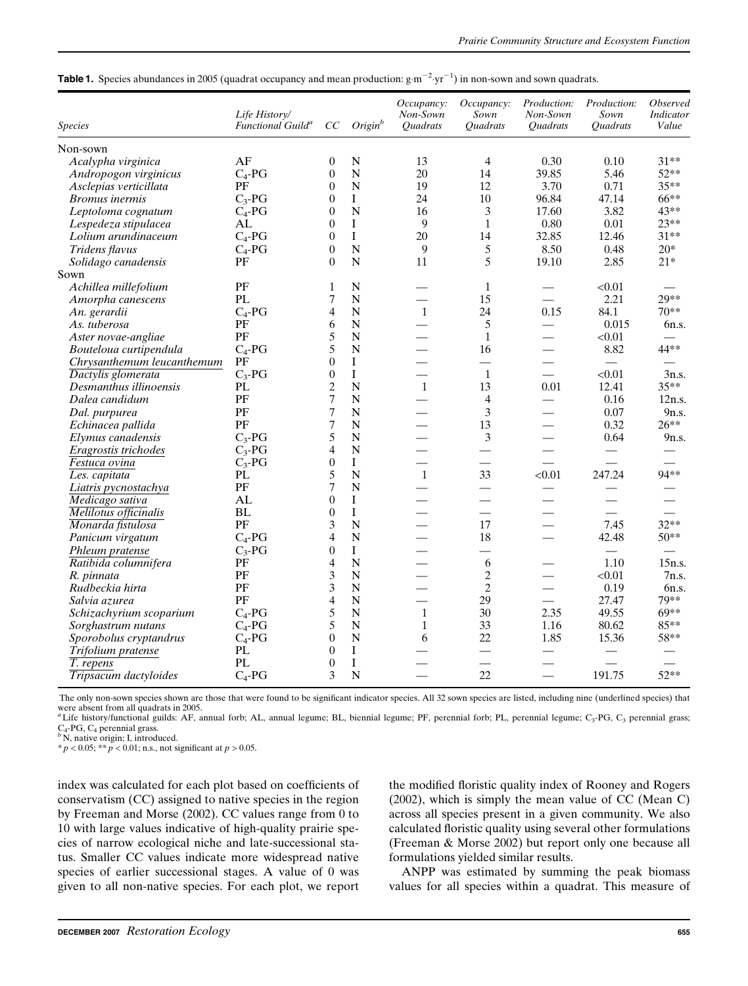| <b>Table 1.</b> Species abundances in 2005 (quadrat occupancy and mean production: $g \cdot m^{-2} \cdot yr^{-1}$ ) in non-sown and sown quadrats. |  |  |  |
|----------------------------------------------------------------------------------------------------------------------------------------------------|--|--|--|
|                                                                                                                                                    |  |  |  |

| <b>Species</b>             | Life History/<br>Functional Guild <sup>a</sup> | CC                      | Origin <sup>b</sup> | Occupancy:<br>Non-Sown<br><i><b>Ouadrats</b></i> | Occupancy:<br>Sown<br><i><b>Ouadrats</b></i> | Production:<br>Non-Sown<br><i><b>Quadrats</b></i> | Production:<br>Sown<br><i><b>Quadrats</b></i> | <b>Observed</b><br><b>Indicator</b><br>Value |
|----------------------------|------------------------------------------------|-------------------------|---------------------|--------------------------------------------------|----------------------------------------------|---------------------------------------------------|-----------------------------------------------|----------------------------------------------|
| Non-sown                   |                                                |                         |                     |                                                  |                                              |                                                   |                                               |                                              |
| Acalypha virginica         | AF                                             | $\boldsymbol{0}$        | $\mathbf N$         | 13                                               | $\overline{4}$                               | 0.30                                              | 0.10                                          | $31**$                                       |
| Andropogon virginicus      | $C_4$ -PG                                      | $\overline{0}$          | $\mathbf N$         | 20                                               | 14                                           | 39.85                                             | 5.46                                          | $52**$                                       |
| Asclepias verticillata     | PF                                             | $\overline{0}$          | N                   | 19                                               | 12                                           | 3.70                                              | 0.71                                          | $35**$                                       |
| <b>Bromus</b> inermis      | $C_3$ -PG                                      | $\overline{0}$          | I                   | 24                                               | 10                                           | 96.84                                             | 47.14                                         | 66**                                         |
| Leptoloma cognatum         | $C_4$ -PG                                      | $\overline{0}$          | $\mathbf N$         | 16                                               | 3                                            | 17.60                                             | 3.82                                          | 43**                                         |
| Lespedeza stipulacea       | AL                                             | $\theta$                | $\mathbf I$         | 9                                                | $\mathbf{1}$                                 | 0.80                                              | 0.01                                          | $23**$                                       |
| Lolium arundinaceum        | $C_4$ -PG                                      | $\overline{0}$          | I                   | 20                                               | 14                                           | 32.85                                             | 12.46                                         | $31**$                                       |
| Tridens flavus             | $C_4$ -PG                                      | $\boldsymbol{0}$        | $\mathbf N$         | 9                                                | 5                                            | 8.50                                              | 0.48                                          | $20*$                                        |
| Solidago canadensis        | PF                                             | $\theta$                | $\overline{N}$      | 11                                               | 5                                            | 19.10                                             | 2.85                                          | $21*$                                        |
| Sown                       |                                                |                         |                     |                                                  |                                              |                                                   |                                               |                                              |
| Achillea millefolium       | PF                                             | $\mathbf{1}$            | $\mathbf N$         |                                                  | $\mathbf{1}$                                 |                                                   | < 0.01                                        |                                              |
| Amorpha canescens          | PL                                             | 7                       | $\overline{N}$      |                                                  | 15                                           | $\overline{\phantom{0}}$                          | 2.21                                          | $29**$                                       |
| An. gerardii               | $C_4$ -PG                                      | 4                       | N                   | $\mathbf{1}$                                     | 24                                           | 0.15                                              | 84.1                                          | $70**$                                       |
| As. tuberosa               | PF                                             | 6                       | $\mathbf N$         |                                                  | 5                                            |                                                   | 0.015                                         | 6n.s.                                        |
| Aster novae-angliae        | PF                                             | 5                       | N                   |                                                  | $\mathbf{1}$                                 | $\equiv$                                          | < 0.01                                        |                                              |
| Bouteloua curtipendula     | $C_4$ -PG                                      | 5                       | N                   |                                                  | 16                                           | $\overline{\phantom{0}}$                          | 8.82                                          | 44**                                         |
| Chrysanthemum leucanthemum | PF                                             | $\boldsymbol{0}$        | $\bf I$             |                                                  | $\overline{\phantom{0}}$                     | $\overline{\phantom{0}}$                          | $\equiv$                                      |                                              |
| Dactylis glomerata         | $C_3$ -PG                                      | $\boldsymbol{0}$        | $\mathbf I$         |                                                  | $\mathbf{1}$                                 | $\overline{\phantom{0}}$                          | < 0.01                                        | 3n.s.                                        |
| Desmanthus illinoensis     | PL                                             | $\overline{c}$          | $\mathbf N$         | $\mathbf{1}$                                     | 13                                           | 0.01                                              | 12.41                                         | $35**$                                       |
| Dalea candidum             | PF                                             | $\overline{7}$          | N                   |                                                  | $\overline{4}$                               |                                                   | 0.16                                          | 12n.s.                                       |
| Dal. purpurea              | PF                                             | 7                       | N                   |                                                  | 3                                            |                                                   | 0.07                                          | 9n.s.                                        |
| Echinacea pallida          | PF                                             | $\overline{7}$          | $\mathbf N$         | $\overline{\phantom{0}}$                         | 13                                           | $\overline{\phantom{0}}$                          | 0.32                                          | $26**$                                       |
| Elymus canadensis          | $C_3$ -PG                                      | 5                       | N                   |                                                  | 3                                            |                                                   | 0.64                                          | 9n.s.                                        |
| Eragrostis trichodes       | $C_3$ -PG                                      | 4                       | ${\bf N}$           |                                                  |                                              |                                                   |                                               |                                              |
| Festuca ovina              | $C_3$ -PG                                      | $\boldsymbol{0}$        | $\bf I$             |                                                  |                                              | $\overline{\phantom{a}}$                          | $\overline{\phantom{0}}$                      |                                              |
| Les. capitata              | PL                                             | 5                       | $\mathbf N$         | $\mathbf{1}$                                     | 33                                           | < 0.01                                            | 247.24                                        | 94**                                         |
| Liatris pycnostachya       | PF                                             | 7                       | N                   |                                                  |                                              |                                                   |                                               |                                              |
| Medicago sativa            | AL                                             | $\overline{0}$          | I                   |                                                  | $\overline{\phantom{0}}$                     |                                                   | $\overline{\phantom{0}}$                      |                                              |
| Melilotus officinalis      | <b>BL</b>                                      | $\overline{0}$          | $\bf{I}$            |                                                  | $\overline{\phantom{0}}$                     |                                                   |                                               |                                              |
| Monarda fistulosa          | PF                                             | 3                       | N                   |                                                  | 17                                           |                                                   | 7.45                                          | $32**$                                       |
| Panicum virgatum           | $C_4$ -PG                                      | 4                       | ${\bf N}$           | $\overline{\phantom{0}}$                         | 18                                           | $\overline{\phantom{0}}$                          | 42.48                                         | 50**                                         |
| Phleum pratense            | $C_3$ -PG                                      | $\overline{0}$          | $\mathbf I$         |                                                  |                                              |                                                   | $\equiv$                                      |                                              |
| Ratibida columnifera       | PF                                             | 4                       | N                   |                                                  | 6                                            |                                                   | 1.10                                          | 15n.s.                                       |
| R. pinnata                 | PF                                             | 3                       | $\mathbf N$         |                                                  | $\overline{c}$                               | $\overline{\phantom{0}}$                          | < 0.01                                        | 7n.s.                                        |
| Rudbeckia hirta            | PF                                             | 3                       | $\mathbf N$         | $\overline{\phantom{0}}$                         | $\mathfrak{2}$                               | $\equiv$                                          | 0.19                                          | 6n.s.                                        |
| Salvia azurea              | PF                                             | $\overline{\mathbf{4}}$ | $\mathbf N$         |                                                  | 29                                           |                                                   | 27.47                                         | 79**                                         |
| Schizachyrium scoparium    | $C_4$ -PG                                      | 5                       | $\mathbf N$         | $\mathbf{1}$                                     | 30                                           | 2.35                                              | 49.55                                         | $69***$                                      |
| Sorghastrum nutans         | $C_4$ -PG                                      | 5                       | $\mathbf N$         | $\mathbf{1}$                                     | 33                                           | 1.16                                              | 80.62                                         | 85**                                         |
| Sporobolus cryptandrus     | $C_4$ -PG                                      | $\overline{0}$          | $\mathbf N$         | 6                                                | 22                                           | 1.85                                              | 15.36                                         | 58**                                         |
| Trifolium pratense         | $\mathbf{PL}$                                  | $\overline{0}$          | I                   |                                                  | $\qquad \qquad$                              |                                                   |                                               |                                              |
| T. repens                  | <b>PL</b>                                      | $\boldsymbol{0}$        | $\bf{I}$            |                                                  |                                              |                                                   |                                               |                                              |
| Tripsacum dactyloides      | $C_4$ -PG                                      | 3                       | $\mathbf N$         | $\equiv$                                         | 22                                           | $\equiv$                                          | 191.75                                        | 52**                                         |

The only non-sown species shown are those that were found to be significant indicator species. All 32 sown species are listed, including nine (underlined species) that were absent from all quadrats in 2005.

aLife history/functional guilds: AF, annual forb; AL, annual legume; BL, biennial legume; PF, perennial forb; PL, perennial legume; C<sub>3</sub>-PG, C<sub>3</sub> perennial grass; C<sub>4</sub>-PG, C<sub>4</sub> perennial grass.

 $C_4$ -PG,  $C_4$  perennial grass.<br><sup>b</sup> N, native origin; I, introduced.<br>\* p < 0.05; \*\* p < 0.01; n.s., not significant at p > 0.05.

index was calculated for each plot based on coefficients of conservatism (CC) assigned to native species in the region by Freeman and Morse (2002). CC values range from 0 to 10 with large values indicative of high-quality prairie species of narrow ecological niche and late-successional status. Smaller CC values indicate more widespread native species of earlier successional stages. A value of 0 was given to all non-native species. For each plot, we report

the modified floristic quality index of Rooney and Rogers (2002), which is simply the mean value of CC (Mean C) across all species present in a given community. We also calculated floristic quality using several other formulations (Freeman & Morse 2002) but report only one because all formulations yielded similar results.

ANPP was estimated by summing the peak biomass values for all species within a quadrat. This measure of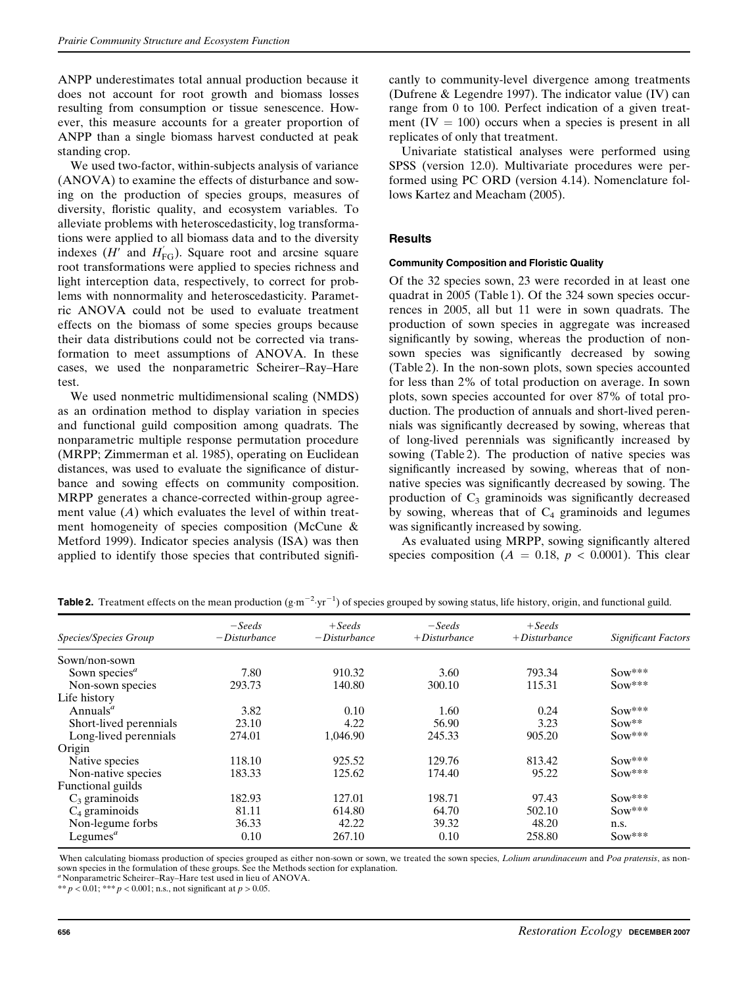ANPP underestimates total annual production because it does not account for root growth and biomass losses resulting from consumption or tissue senescence. However, this measure accounts for a greater proportion of ANPP than a single biomass harvest conducted at peak standing crop.

We used two-factor, within-subjects analysis of variance (ANOVA) to examine the effects of disturbance and sowing on the production of species groups, measures of diversity, floristic quality, and ecosystem variables. To alleviate problems with heteroscedasticity, log transformations were applied to all biomass data and to the diversity indexes ( $H'$  and  $H_{FG}'$ ). Square root and arcsine square root transformations were applied to species richness and light interception data, respectively, to correct for problems with nonnormality and heteroscedasticity. Parametric ANOVA could not be used to evaluate treatment effects on the biomass of some species groups because their data distributions could not be corrected via transformation to meet assumptions of ANOVA. In these cases, we used the nonparametric Scheirer–Ray–Hare test.

We used nonmetric multidimensional scaling (NMDS) as an ordination method to display variation in species and functional guild composition among quadrats. The nonparametric multiple response permutation procedure (MRPP; Zimmerman et al. 1985), operating on Euclidean distances, was used to evaluate the significance of disturbance and sowing effects on community composition. MRPP generates a chance-corrected within-group agreement value  $(A)$  which evaluates the level of within treatment homogeneity of species composition (McCune & Metford 1999). Indicator species analysis (ISA) was then applied to identify those species that contributed significantly to community-level divergence among treatments (Dufrene & Legendre 1997). The indicator value (IV) can range from 0 to 100. Perfect indication of a given treatment  $(IV = 100)$  occurs when a species is present in all replicates of only that treatment.

Univariate statistical analyses were performed using SPSS (version 12.0). Multivariate procedures were performed using PC ORD (version 4.14). Nomenclature follows Kartez and Meacham (2005).

# **Results**

## Community Composition and Floristic Quality

Of the 32 species sown, 23 were recorded in at least one quadrat in 2005 (Table 1). Of the 324 sown species occurrences in 2005, all but 11 were in sown quadrats. The production of sown species in aggregate was increased significantly by sowing, whereas the production of nonsown species was significantly decreased by sowing (Table 2). In the non-sown plots, sown species accounted for less than 2% of total production on average. In sown plots, sown species accounted for over 87% of total production. The production of annuals and short-lived perennials was significantly decreased by sowing, whereas that of long-lived perennials was significantly increased by sowing (Table 2). The production of native species was significantly increased by sowing, whereas that of nonnative species was significantly decreased by sowing. The production of  $C_3$  graminoids was significantly decreased by sowing, whereas that of  $C_4$  graminoids and legumes was significantly increased by sowing.

As evaluated using MRPP, sowing significantly altered species composition ( $A = 0.18$ ,  $p < 0.0001$ ). This clear

| Species/Species Group     | $-Seeds$<br>$-Disturbance$ | $+Seeds$<br>$-Disturbance$ | $-Seeds$<br>$+$ Disturbance | $+Seeds$<br>$+$ Disturbance | <b>Significant Factors</b> |
|---------------------------|----------------------------|----------------------------|-----------------------------|-----------------------------|----------------------------|
|                           |                            |                            |                             |                             |                            |
| Sown/non-sown             |                            |                            |                             |                             |                            |
| Sown species <sup>a</sup> | 7.80                       | 910.32                     | 3.60                        | 793.34                      | $Sow***$                   |
| Non-sown species          | 293.73                     | 140.80                     | 300.10                      | 115.31                      | $Sow***$                   |
| Life history              |                            |                            |                             |                             |                            |
| Annuals <sup>a</sup>      | 3.82                       | 0.10                       | 1.60                        | 0.24                        | $Sow***$                   |
| Short-lived perennials    | 23.10                      | 4.22                       | 56.90                       | 3.23                        | $Sow**$                    |
| Long-lived perennials     | 274.01                     | 1.046.90                   | 245.33                      | 905.20                      | Sow***                     |
| Origin                    |                            |                            |                             |                             |                            |
| Native species            | 118.10                     | 925.52                     | 129.76                      | 813.42                      | $Sow***$                   |
| Non-native species        | 183.33                     | 125.62                     | 174.40                      | 95.22                       | $Sow***$                   |
| Functional guilds         |                            |                            |                             |                             |                            |
| $C_3$ graminoids          | 182.93                     | 127.01                     | 198.71                      | 97.43                       | $Sow***$                   |
| $C_4$ graminoids          | 81.11                      | 614.80                     | 64.70                       | 502.10                      | Sow***                     |
| Non-legume forbs          | 36.33                      | 42.22                      | 39.32                       | 48.20                       | n.s.                       |
| Legumes $a$               | 0.10                       | 267.10                     | 0.10                        | 258.80                      | $Sow***$                   |

**Table 2.** Treatment effects on the mean production  $(g \cdot m^{-2} \cdot yr^{-1})$  of species grouped by sowing status, life history, origin, and functional guild.

When calculating biomass production of species grouped as either non-sown or sown, we treated the sown species, *Lolium arundinaceum* and Poa pratensis, as nonsown species in the formulation of these groups. See the Methods section for explanation.

'Nonparametric Scheirer–Ray–Hare test used in lieu of ANOVA. \*\*  $p < 0.01$ ; \*\*\*  $p < 0.001$ ; n.s., not significant at  $p > 0.05$ .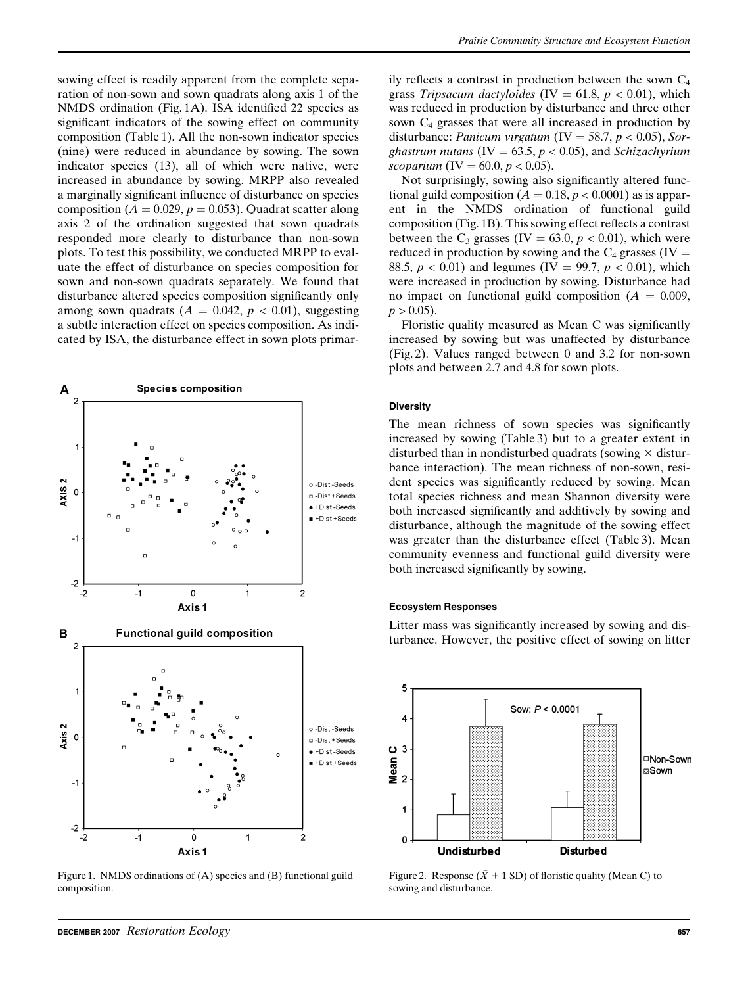sowing effect is readily apparent from the complete separation of non-sown and sown quadrats along axis 1 of the NMDS ordination (Fig. 1A). ISA identified 22 species as significant indicators of the sowing effect on community composition (Table 1). All the non-sown indicator species (nine) were reduced in abundance by sowing. The sown indicator species (13), all of which were native, were increased in abundance by sowing. MRPP also revealed a marginally significant influence of disturbance on species composition ( $A = 0.029$ ,  $p = 0.053$ ). Quadrat scatter along axis 2 of the ordination suggested that sown quadrats responded more clearly to disturbance than non-sown plots. To test this possibility, we conducted MRPP to evaluate the effect of disturbance on species composition for sown and non-sown quadrats separately. We found that disturbance altered species composition significantly only among sown quadrats  $(A = 0.042, p < 0.01)$ , suggesting a subtle interaction effect on species composition. As indicated by ISA, the disturbance effect in sown plots primar-



Figure 1. NMDS ordinations of (A) species and (B) functional guild composition.

ily reflects a contrast in production between the sown  $C_4$ grass Tripsacum dactyloides (IV = 61.8,  $p < 0.01$ ), which was reduced in production by disturbance and three other sown  $C_4$  grasses that were all increased in production by disturbance: *Panicum virgatum* (IV = 58.7,  $p < 0.05$ ), Sorghastrum nutans (IV = 63.5,  $p < 0.05$ ), and Schizachyrium scoparium (IV = 60.0,  $p < 0.05$ ).

Not surprisingly, sowing also significantly altered functional guild composition ( $A = 0.18$ ,  $p < 0.0001$ ) as is apparent in the NMDS ordination of functional guild composition (Fig. 1B). This sowing effect reflects a contrast between the  $C_3$  grasses (IV = 63.0,  $p < 0.01$ ), which were reduced in production by sowing and the  $C_4$  grasses (IV = 88.5,  $p < 0.01$ ) and legumes (IV = 99.7,  $p < 0.01$ ), which were increased in production by sowing. Disturbance had no impact on functional guild composition ( $A = 0.009$ ,  $p > 0.05$ ).

Floristic quality measured as Mean C was significantly increased by sowing but was unaffected by disturbance (Fig. 2). Values ranged between 0 and 3.2 for non-sown plots and between 2.7 and 4.8 for sown plots.

#### **Diversity**

The mean richness of sown species was significantly increased by sowing (Table 3) but to a greater extent in disturbed than in nondisturbed quadrats (sowing  $\times$  disturbance interaction). The mean richness of non-sown, resident species was significantly reduced by sowing. Mean total species richness and mean Shannon diversity were both increased significantly and additively by sowing and disturbance, although the magnitude of the sowing effect was greater than the disturbance effect (Table 3). Mean community evenness and functional guild diversity were both increased significantly by sowing.

#### Ecosystem Responses

Litter mass was significantly increased by sowing and disturbance. However, the positive effect of sowing on litter



Figure 2. Response ( $(\bar{X} + 1 \text{ SD})$  of floristic quality (Mean C) to sowing and disturbance.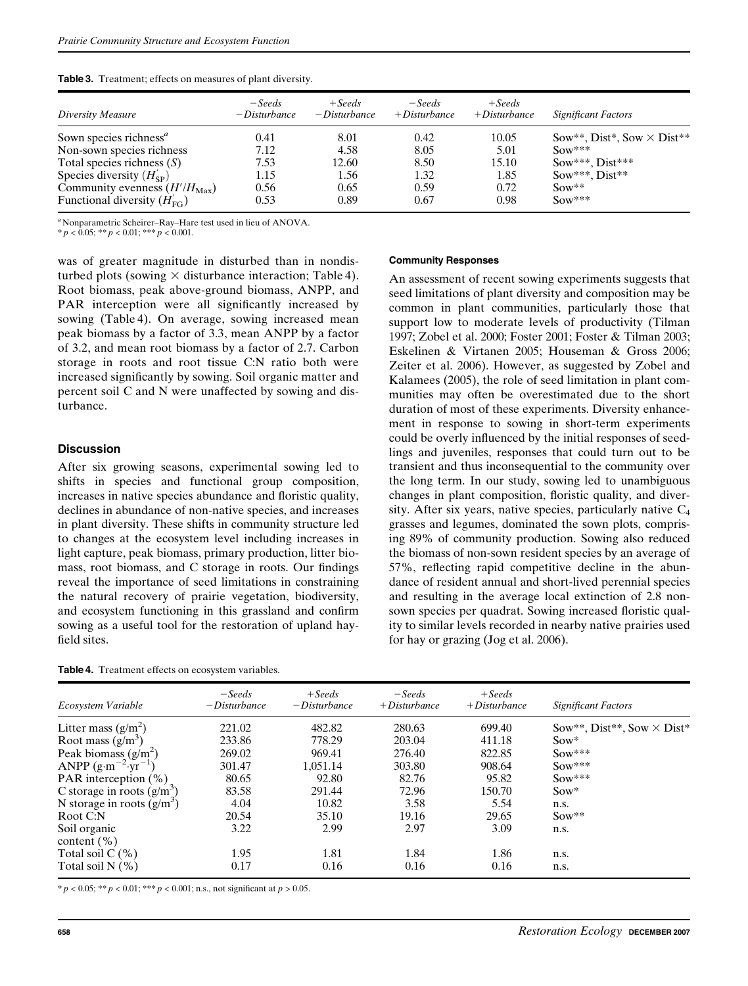| Table 3. Treatment; effects on measures of plant diversity. |  |  |  |  |
|-------------------------------------------------------------|--|--|--|--|
|-------------------------------------------------------------|--|--|--|--|

| Diversity Measure                        | $-Seeds$<br>$-Disturbance$ | $+Seeds$<br>$-Disturbance$ | $-Seeds$<br>$+$ Disturbance | $+Seeds$<br>$+Disturbance$ | <b>Significant Factors</b>        |
|------------------------------------------|----------------------------|----------------------------|-----------------------------|----------------------------|-----------------------------------|
| Sown species richness <sup>a</sup>       | 0.41                       | 8.01                       | 0.42                        | 10.05                      | Sow**, Dist*, Sow $\times$ Dist** |
| Non-sown species richness                | 7.12                       | 4.58                       | 8.05                        | 5.01                       | $Sow***$                          |
| Total species richness $(S)$             | 7.53                       | 12.60                      | 8.50                        | 15.10                      | $Sow***$ , $Dist***$              |
| Species diversity $(H_{\rm SP})$         | 1.15                       | 1.56                       | 1.32                        | 1.85                       | $Sow***$ . Dist**                 |
| Community evenness $(H'/H_{\text{Max}})$ | 0.56                       | 0.65                       | 0.59                        | 0.72                       | $Sow**$                           |
| Functional diversity $(H_{\text{FG}})$   | 0.53                       | 0.89                       | 0.67                        | 0.98                       | $Sow***$                          |

<sup>a</sup> Nonparametric Scheirer–Ray–Hare test used in lieu of ANOVA.

 $* p < 0.05; ** p < 0.01; *** p < 0.001.$ 

was of greater magnitude in disturbed than in nondisturbed plots (sowing  $\times$  disturbance interaction; Table 4). Root biomass, peak above-ground biomass, ANPP, and PAR interception were all significantly increased by sowing (Table 4). On average, sowing increased mean peak biomass by a factor of 3.3, mean ANPP by a factor of 3.2, and mean root biomass by a factor of 2.7. Carbon storage in roots and root tissue C:N ratio both were increased significantly by sowing. Soil organic matter and percent soil C and N were unaffected by sowing and disturbance.

## **Discussion**

After six growing seasons, experimental sowing led to shifts in species and functional group composition, increases in native species abundance and floristic quality, declines in abundance of non-native species, and increases in plant diversity. These shifts in community structure led to changes at the ecosystem level including increases in light capture, peak biomass, primary production, litter biomass, root biomass, and C storage in roots. Our findings reveal the importance of seed limitations in constraining the natural recovery of prairie vegetation, biodiversity, and ecosystem functioning in this grassland and confirm sowing as a useful tool for the restoration of upland hayfield sites.

| <b>Table 4.</b> Treatment effects on ecosystem variables. |  |  |  |
|-----------------------------------------------------------|--|--|--|
|-----------------------------------------------------------|--|--|--|

#### Community Responses

An assessment of recent sowing experiments suggests that seed limitations of plant diversity and composition may be common in plant communities, particularly those that support low to moderate levels of productivity (Tilman 1997; Zobel et al. 2000; Foster 2001; Foster & Tilman 2003; Eskelinen & Virtanen 2005; Houseman & Gross 2006; Zeiter et al. 2006). However, as suggested by Zobel and Kalamees (2005), the role of seed limitation in plant communities may often be overestimated due to the short duration of most of these experiments. Diversity enhancement in response to sowing in short-term experiments could be overly influenced by the initial responses of seedlings and juveniles, responses that could turn out to be transient and thus inconsequential to the community over the long term. In our study, sowing led to unambiguous changes in plant composition, floristic quality, and diversity. After six years, native species, particularly native  $C_4$ grasses and legumes, dominated the sown plots, comprising 89% of community production. Sowing also reduced the biomass of non-sown resident species by an average of 57%, reflecting rapid competitive decline in the abundance of resident annual and short-lived perennial species and resulting in the average local extinction of 2.8 nonsown species per quadrat. Sowing increased floristic quality to similar levels recorded in nearby native prairies used for hay or grazing (Jog et al. 2006).

| Ecosystem Variable                    | $-Seeds$<br>$-Disturbance$ | $+Seeds$<br>$-Disturbance$ | $-Seeds$<br>$+Disturbance$ | $+ Seeds$<br>$+Disturbance$ | <b>Significant Factors</b>        |
|---------------------------------------|----------------------------|----------------------------|----------------------------|-----------------------------|-----------------------------------|
| Litter mass $(g/m^2)$                 | 221.02                     | 482.82                     | 280.63                     | 699.40                      | Sow**, Dist**, Sow $\times$ Dist* |
| Root mass $(g/m^3)$                   | 233.86                     | 778.29                     | 203.04                     | 411.18                      | $Sow*$                            |
| Peak biomass $(g/m^2)$                | 269.02                     | 969.41                     | 276.40                     | 822.85                      | $Sow***$                          |
| ANPP $(g \cdot m^{-2} \cdot yr^{-1})$ | 301.47                     | 1,051.14                   | 303.80                     | 908.64                      | $Sow***$                          |
| PAR interception $(\%)$               | 80.65                      | 92.80                      | 82.76                      | 95.82                       | $Sow***$                          |
| C storage in roots $(g/m^3)$          | 83.58                      | 291.44                     | 72.96                      | 150.70                      | $Sow*$                            |
| N storage in roots $(g/m^3)$          | 4.04                       | 10.82                      | 3.58                       | 5.54                        | n.s.                              |
| Root C:N                              | 20.54                      | 35.10                      | 19.16                      | 29.65                       | $Sow**$                           |
| Soil organic<br>content $(\% )$       | 3.22                       | 2.99                       | 2.97                       | 3.09                        | n.s.                              |
| Total soil $C(\%)$                    | 1.95                       | 1.81                       | 1.84                       | 1.86                        | n.s.                              |
| Total soil $N$ $(\%)$                 | 0.17                       | 0.16                       | 0.16                       | 0.16                        | n.s.                              |
|                                       |                            |                            |                            |                             |                                   |

 $* p < 0.05; ** p < 0.01; *** p < 0.001;$  n.s., not significant at  $p > 0.05$ .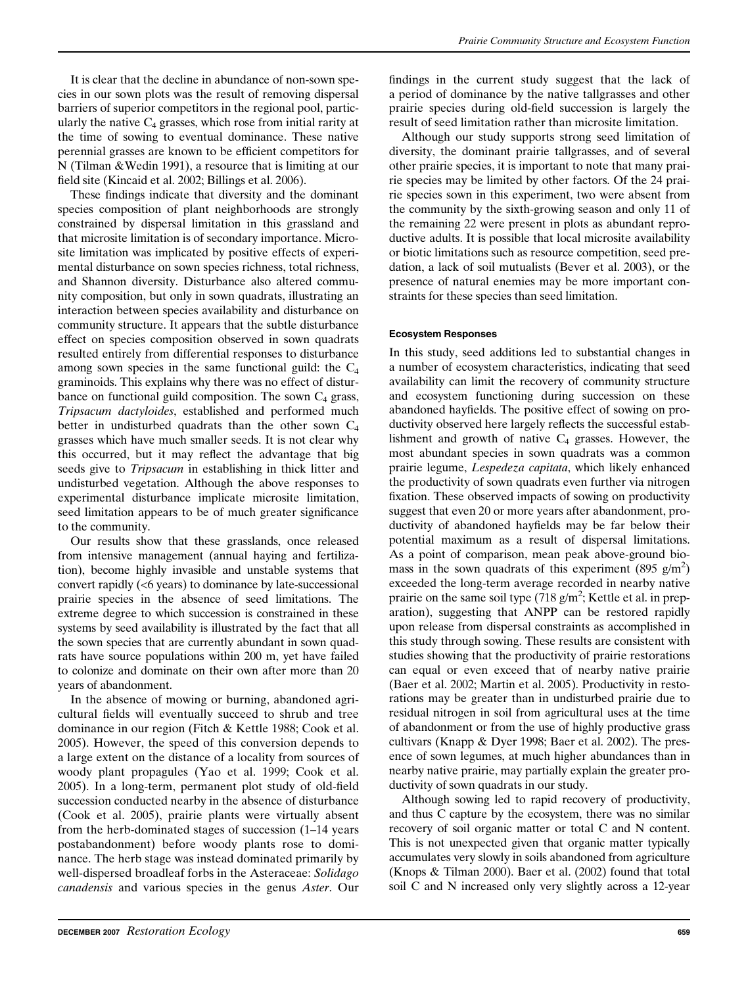It is clear that the decline in abundance of non-sown species in our sown plots was the result of removing dispersal barriers of superior competitors in the regional pool, particularly the native  $C_4$  grasses, which rose from initial rarity at the time of sowing to eventual dominance. These native perennial grasses are known to be efficient competitors for N (Tilman &Wedin 1991), a resource that is limiting at our field site (Kincaid et al. 2002; Billings et al. 2006).

These findings indicate that diversity and the dominant species composition of plant neighborhoods are strongly constrained by dispersal limitation in this grassland and that microsite limitation is of secondary importance. Microsite limitation was implicated by positive effects of experimental disturbance on sown species richness, total richness, and Shannon diversity. Disturbance also altered community composition, but only in sown quadrats, illustrating an interaction between species availability and disturbance on community structure. It appears that the subtle disturbance effect on species composition observed in sown quadrats resulted entirely from differential responses to disturbance among sown species in the same functional guild: the  $C_4$ graminoids. This explains why there was no effect of disturbance on functional guild composition. The sown  $C_4$  grass, Tripsacum dactyloides, established and performed much better in undisturbed quadrats than the other sown  $C_4$ grasses which have much smaller seeds. It is not clear why this occurred, but it may reflect the advantage that big seeds give to *Tripsacum* in establishing in thick litter and undisturbed vegetation. Although the above responses to experimental disturbance implicate microsite limitation, seed limitation appears to be of much greater significance to the community.

Our results show that these grasslands, once released from intensive management (annual haying and fertilization), become highly invasible and unstable systems that convert rapidly (<6 years) to dominance by late-successional prairie species in the absence of seed limitations. The extreme degree to which succession is constrained in these systems by seed availability is illustrated by the fact that all the sown species that are currently abundant in sown quadrats have source populations within 200 m, yet have failed to colonize and dominate on their own after more than 20 years of abandonment.

In the absence of mowing or burning, abandoned agricultural fields will eventually succeed to shrub and tree dominance in our region (Fitch & Kettle 1988; Cook et al. 2005). However, the speed of this conversion depends to a large extent on the distance of a locality from sources of woody plant propagules (Yao et al. 1999; Cook et al. 2005). In a long-term, permanent plot study of old-field succession conducted nearby in the absence of disturbance (Cook et al. 2005), prairie plants were virtually absent from the herb-dominated stages of succession (1–14 years postabandonment) before woody plants rose to dominance. The herb stage was instead dominated primarily by well-dispersed broadleaf forbs in the Asteraceae: Solidago canadensis and various species in the genus Aster. Our

findings in the current study suggest that the lack of a period of dominance by the native tallgrasses and other prairie species during old-field succession is largely the result of seed limitation rather than microsite limitation.

Although our study supports strong seed limitation of diversity, the dominant prairie tallgrasses, and of several other prairie species, it is important to note that many prairie species may be limited by other factors. Of the 24 prairie species sown in this experiment, two were absent from the community by the sixth-growing season and only 11 of the remaining 22 were present in plots as abundant reproductive adults. It is possible that local microsite availability or biotic limitations such as resource competition, seed predation, a lack of soil mutualists (Bever et al. 2003), or the presence of natural enemies may be more important constraints for these species than seed limitation.

#### Ecosystem Responses

In this study, seed additions led to substantial changes in a number of ecosystem characteristics, indicating that seed availability can limit the recovery of community structure and ecosystem functioning during succession on these abandoned hayfields. The positive effect of sowing on productivity observed here largely reflects the successful establishment and growth of native  $C_4$  grasses. However, the most abundant species in sown quadrats was a common prairie legume, Lespedeza capitata, which likely enhanced the productivity of sown quadrats even further via nitrogen fixation. These observed impacts of sowing on productivity suggest that even 20 or more years after abandonment, productivity of abandoned hayfields may be far below their potential maximum as a result of dispersal limitations. As a point of comparison, mean peak above-ground biomass in the sown quadrats of this experiment (895  $g/m<sup>2</sup>$ ) exceeded the long-term average recorded in nearby native prairie on the same soil type  $(718 \text{ g/m}^2)$ ; Kettle et al. in preparation), suggesting that ANPP can be restored rapidly upon release from dispersal constraints as accomplished in this study through sowing. These results are consistent with studies showing that the productivity of prairie restorations can equal or even exceed that of nearby native prairie (Baer et al. 2002; Martin et al. 2005). Productivity in restorations may be greater than in undisturbed prairie due to residual nitrogen in soil from agricultural uses at the time of abandonment or from the use of highly productive grass cultivars (Knapp & Dyer 1998; Baer et al. 2002). The presence of sown legumes, at much higher abundances than in nearby native prairie, may partially explain the greater productivity of sown quadrats in our study.

Although sowing led to rapid recovery of productivity, and thus C capture by the ecosystem, there was no similar recovery of soil organic matter or total C and N content. This is not unexpected given that organic matter typically accumulates very slowly in soils abandoned from agriculture (Knops & Tilman 2000). Baer et al. (2002) found that total soil C and N increased only very slightly across a 12-year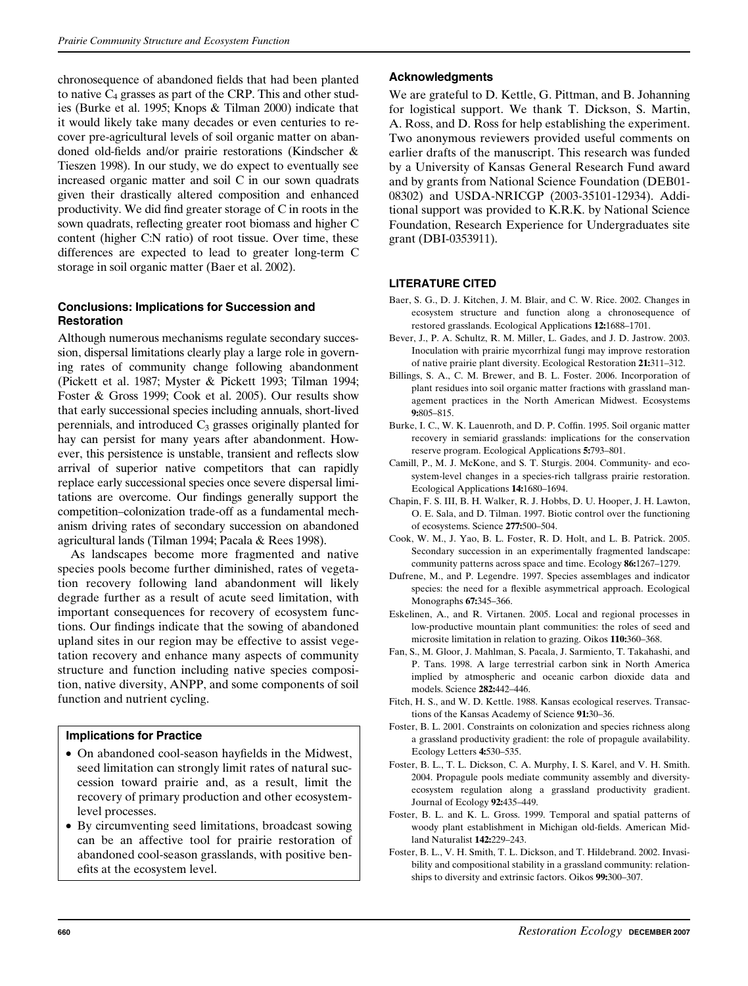chronosequence of abandoned fields that had been planted to native  $C_4$  grasses as part of the CRP. This and other studies (Burke et al. 1995; Knops & Tilman 2000) indicate that it would likely take many decades or even centuries to recover pre-agricultural levels of soil organic matter on abandoned old-fields and/or prairie restorations (Kindscher & Tieszen 1998). In our study, we do expect to eventually see increased organic matter and soil C in our sown quadrats given their drastically altered composition and enhanced productivity. We did find greater storage of C in roots in the sown quadrats, reflecting greater root biomass and higher C content (higher C:N ratio) of root tissue. Over time, these differences are expected to lead to greater long-term C storage in soil organic matter (Baer et al. 2002).

# Conclusions: Implications for Succession and **Restoration**

Although numerous mechanisms regulate secondary succession, dispersal limitations clearly play a large role in governing rates of community change following abandonment (Pickett et al. 1987; Myster & Pickett 1993; Tilman 1994; Foster & Gross 1999; Cook et al. 2005). Our results show that early successional species including annuals, short-lived perennials, and introduced  $C_3$  grasses originally planted for hay can persist for many years after abandonment. However, this persistence is unstable, transient and reflects slow arrival of superior native competitors that can rapidly replace early successional species once severe dispersal limitations are overcome. Our findings generally support the competition–colonization trade-off as a fundamental mechanism driving rates of secondary succession on abandoned agricultural lands (Tilman 1994; Pacala & Rees 1998).

As landscapes become more fragmented and native species pools become further diminished, rates of vegetation recovery following land abandonment will likely degrade further as a result of acute seed limitation, with important consequences for recovery of ecosystem functions. Our findings indicate that the sowing of abandoned upland sites in our region may be effective to assist vegetation recovery and enhance many aspects of community structure and function including native species composition, native diversity, ANPP, and some components of soil function and nutrient cycling.

# Implications for Practice

- On abandoned cool-season hayfields in the Midwest, seed limitation can strongly limit rates of natural succession toward prairie and, as a result, limit the recovery of primary production and other ecosystemlevel processes.
- By circumventing seed limitations, broadcast sowing can be an affective tool for prairie restoration of abandoned cool-season grasslands, with positive benefits at the ecosystem level.

## Acknowledgments

We are grateful to D. Kettle, G. Pittman, and B. Johanning for logistical support. We thank T. Dickson, S. Martin, A. Ross, and D. Ross for help establishing the experiment. Two anonymous reviewers provided useful comments on earlier drafts of the manuscript. This research was funded by a University of Kansas General Research Fund award and by grants from National Science Foundation (DEB01- 08302) and USDA-NRICGP (2003-35101-12934). Additional support was provided to K.R.K. by National Science Foundation, Research Experience for Undergraduates site grant (DBI-0353911).

# LITERATURE CITED

- Baer, S. G., D. J. Kitchen, J. M. Blair, and C. W. Rice. 2002. Changes in ecosystem structure and function along a chronosequence of restored grasslands. Ecological Applications 12:1688–1701.
- Bever, J., P. A. Schultz, R. M. Miller, L. Gades, and J. D. Jastrow. 2003. Inoculation with prairie mycorrhizal fungi may improve restoration of native prairie plant diversity. Ecological Restoration 21:311–312.
- Billings, S. A., C. M. Brewer, and B. L. Foster. 2006. Incorporation of plant residues into soil organic matter fractions with grassland management practices in the North American Midwest. Ecosystems 9:805–815.
- Burke, I. C., W. K. Lauenroth, and D. P. Coffin. 1995. Soil organic matter recovery in semiarid grasslands: implications for the conservation reserve program. Ecological Applications 5:793–801.
- Camill, P., M. J. McKone, and S. T. Sturgis. 2004. Community- and ecosystem-level changes in a species-rich tallgrass prairie restoration. Ecological Applications 14:1680–1694.
- Chapin, F. S. III, B. H. Walker, R. J. Hobbs, D. U. Hooper, J. H. Lawton, O. E. Sala, and D. Tilman. 1997. Biotic control over the functioning of ecosystems. Science 277:500–504.
- Cook, W. M., J. Yao, B. L. Foster, R. D. Holt, and L. B. Patrick. 2005. Secondary succession in an experimentally fragmented landscape: community patterns across space and time. Ecology 86:1267–1279.
- Dufrene, M., and P. Legendre. 1997. Species assemblages and indicator species: the need for a flexible asymmetrical approach. Ecological Monographs 67:345–366.
- Eskelinen, A., and R. Virtanen. 2005. Local and regional processes in low-productive mountain plant communities: the roles of seed and microsite limitation in relation to grazing. Oikos 110:360–368.
- Fan, S., M. Gloor, J. Mahlman, S. Pacala, J. Sarmiento, T. Takahashi, and P. Tans. 1998. A large terrestrial carbon sink in North America implied by atmospheric and oceanic carbon dioxide data and models. Science 282:442–446.
- Fitch, H. S., and W. D. Kettle. 1988. Kansas ecological reserves. Transactions of the Kansas Academy of Science 91:30–36.
- Foster, B. L. 2001. Constraints on colonization and species richness along a grassland productivity gradient: the role of propagule availability. Ecology Letters 4:530–535.
- Foster, B. L., T. L. Dickson, C. A. Murphy, I. S. Karel, and V. H. Smith. 2004. Propagule pools mediate community assembly and diversityecosystem regulation along a grassland productivity gradient. Journal of Ecology 92:435–449.
- Foster, B. L. and K. L. Gross. 1999. Temporal and spatial patterns of woody plant establishment in Michigan old-fields. American Midland Naturalist 142:229–243.
- Foster, B. L., V. H. Smith, T. L. Dickson, and T. Hildebrand. 2002. Invasibility and compositional stability in a grassland community: relationships to diversity and extrinsic factors. Oikos 99:300–307.